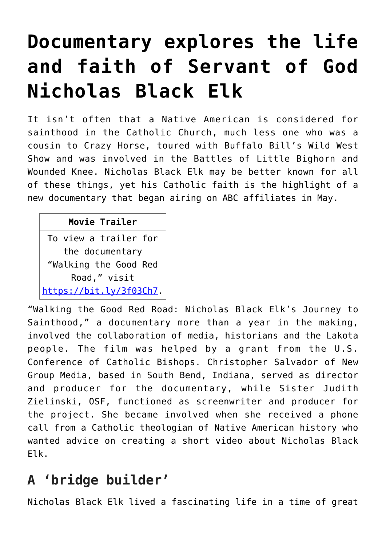## **[Documentary explores the life](https://www.osvnews.com/2020/05/06/documentary-explores-the-life-and-faith-of-servant-of-god-nicholas-black-elk/) [and faith of Servant of God](https://www.osvnews.com/2020/05/06/documentary-explores-the-life-and-faith-of-servant-of-god-nicholas-black-elk/) [Nicholas Black Elk](https://www.osvnews.com/2020/05/06/documentary-explores-the-life-and-faith-of-servant-of-god-nicholas-black-elk/)**

It isn't often that a Native American is considered for sainthood in the Catholic Church, much less one who was a cousin to Crazy Horse, toured with Buffalo Bill's Wild West Show and was involved in the Battles of Little Bighorn and Wounded Knee. Nicholas Black Elk may be better known for all of these things, yet his Catholic faith is the highlight of a new documentary that began airing on ABC affiliates in May.

## **Movie Trailer**

To view a trailer for the documentary "Walking the Good Red Road," visit [https://bit.ly/3f03Ch7.](https://bit.ly/3f03Ch7)

"Walking the Good Red Road: Nicholas Black Elk's Journey to Sainthood," a documentary more than a year in the making, involved the collaboration of media, historians and the Lakota people. The film was helped by a grant from the U.S. Conference of Catholic Bishops. Christopher Salvador of New Group Media, based in South Bend, Indiana, served as director and producer for the documentary, while Sister Judith Zielinski, OSF, functioned as screenwriter and producer for the project. She became involved when she received a phone call from a Catholic theologian of Native American history who wanted advice on creating a short video about Nicholas Black Elk.

## **A 'bridge builder'**

Nicholas Black Elk lived a fascinating life in a time of great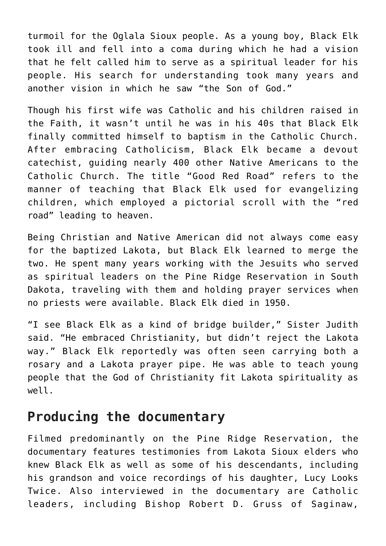turmoil for the Oglala Sioux people. As a young boy, Black Elk took ill and fell into a coma during which he had a vision that he felt called him to serve as a spiritual leader for his people. His search for understanding took many years and another vision in which he saw "the Son of God."

Though his first wife was Catholic and his children raised in the Faith, it wasn't until he was in his 40s that Black Elk finally committed himself to baptism in the Catholic Church. After embracing Catholicism, Black Elk became a devout catechist, guiding nearly 400 other Native Americans to the Catholic Church. The title "Good Red Road" refers to the manner of teaching that Black Elk used for evangelizing children, which employed a pictorial scroll with the "red road" leading to heaven.

Being Christian and Native American did not always come easy for the baptized Lakota, but Black Elk learned to merge the two. He spent many years working with the Jesuits who served as spiritual leaders on the Pine Ridge Reservation in South Dakota, traveling with them and holding prayer services when no priests were available. Black Elk died in 1950.

"I see Black Elk as a kind of bridge builder," Sister Judith said. "He embraced Christianity, but didn't reject the Lakota way." Black Elk reportedly was often seen carrying both a rosary and a Lakota prayer pipe. He was able to teach young people that the God of Christianity fit Lakota spirituality as well.

## **Producing the documentary**

Filmed predominantly on the Pine Ridge Reservation, the documentary features testimonies from Lakota Sioux elders who knew Black Elk as well as some of his descendants, including his grandson and voice recordings of his daughter, Lucy Looks Twice. Also interviewed in the documentary are Catholic leaders, including Bishop Robert D. Gruss of Saginaw,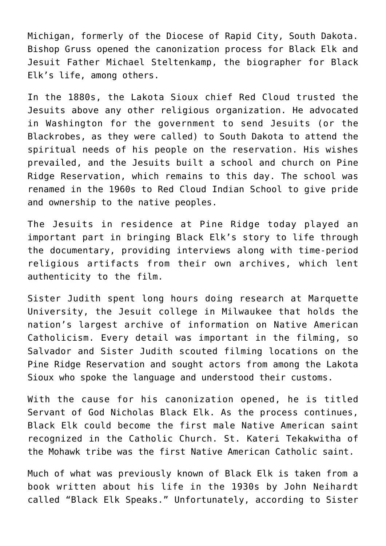Michigan, formerly of the Diocese of Rapid City, South Dakota. Bishop Gruss opened the canonization process for Black Elk and Jesuit Father Michael Steltenkamp, the biographer for Black Elk's life, among others.

In the 1880s, the Lakota Sioux chief Red Cloud trusted the Jesuits above any other religious organization. He advocated in Washington for the government to send Jesuits (or the Blackrobes, as they were called) to South Dakota to attend the spiritual needs of his people on the reservation. His wishes prevailed, and the Jesuits built a school and church on Pine Ridge Reservation, which remains to this day. The school was renamed in the 1960s to Red Cloud Indian School to give pride and ownership to the native peoples.

The Jesuits in residence at Pine Ridge today played an important part in bringing Black Elk's story to life through the documentary, providing interviews along with time-period religious artifacts from their own archives, which lent authenticity to the film.

Sister Judith spent long hours doing research at Marquette University, the Jesuit college in Milwaukee that holds the nation's largest archive of information on Native American Catholicism. Every detail was important in the filming, so Salvador and Sister Judith scouted filming locations on the Pine Ridge Reservation and sought actors from among the Lakota Sioux who spoke the language and understood their customs.

With the cause for his canonization opened, he is titled Servant of God Nicholas Black Elk. As the process continues, Black Elk could become the first male Native American saint recognized in the Catholic Church. St. Kateri Tekakwitha of the Mohawk tribe was the first Native American Catholic saint.

Much of what was previously known of Black Elk is taken from a book written about his life in the 1930s by John Neihardt called "Black Elk Speaks." Unfortunately, according to Sister